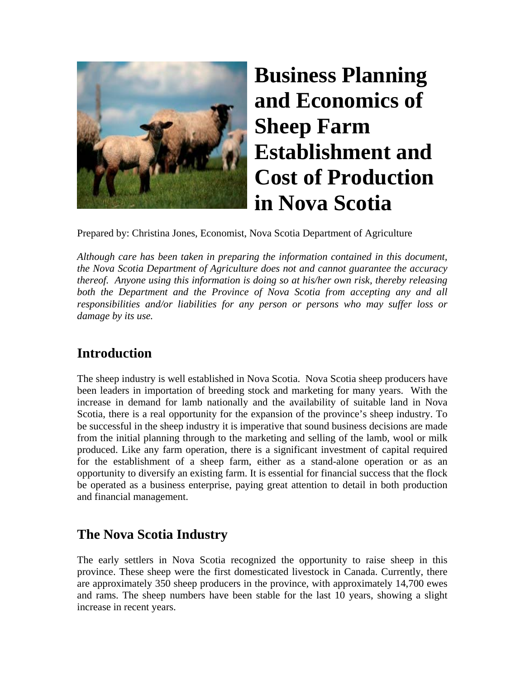

# **Business Planning and Economics of Sheep Farm Establishment and Cost of Production in Nova Scotia**

Prepared by: Christina Jones, Economist, Nova Scotia Department of Agriculture

*Although care has been taken in preparing the information contained in this document, the Nova Scotia Department of Agriculture does not and cannot guarantee the accuracy thereof. Anyone using this information is doing so at his/her own risk, thereby releasing both the Department and the Province of Nova Scotia from accepting any and all responsibilities and/or liabilities for any person or persons who may suffer loss or damage by its use.* 

### **Introduction**

The sheep industry is well established in Nova Scotia. Nova Scotia sheep producers have been leaders in importation of breeding stock and marketing for many years. With the increase in demand for lamb nationally and the availability of suitable land in Nova Scotia, there is a real opportunity for the expansion of the province's sheep industry. To be successful in the sheep industry it is imperative that sound business decisions are made from the initial planning through to the marketing and selling of the lamb, wool or milk produced. Like any farm operation, there is a significant investment of capital required for the establishment of a sheep farm, either as a stand-alone operation or as an opportunity to diversify an existing farm. It is essential for financial success that the flock be operated as a business enterprise, paying great attention to detail in both production and financial management.

# **The Nova Scotia Industry**

The early settlers in Nova Scotia recognized the opportunity to raise sheep in this province. These sheep were the first domesticated livestock in Canada. Currently, there are approximately 350 sheep producers in the province, with approximately 14,700 ewes and rams. The sheep numbers have been stable for the last 10 years, showing a slight increase in recent years.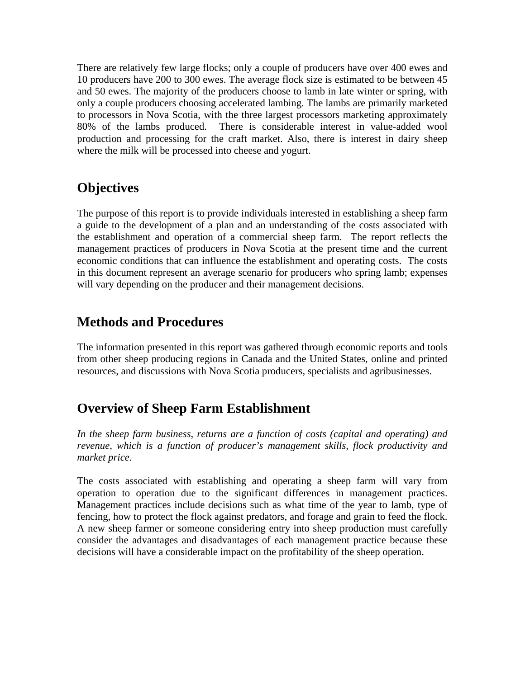There are relatively few large flocks; only a couple of producers have over 400 ewes and 10 producers have 200 to 300 ewes. The average flock size is estimated to be between 45 and 50 ewes. The majority of the producers choose to lamb in late winter or spring, with only a couple producers choosing accelerated lambing. The lambs are primarily marketed to processors in Nova Scotia, with the three largest processors marketing approximately 80% of the lambs produced. There is considerable interest in value-added wool production and processing for the craft market. Also, there is interest in dairy sheep where the milk will be processed into cheese and yogurt.

### **Objectives**

The purpose of this report is to provide individuals interested in establishing a sheep farm a guide to the development of a plan and an understanding of the costs associated with the establishment and operation of a commercial sheep farm. The report reflects the management practices of producers in Nova Scotia at the present time and the current economic conditions that can influence the establishment and operating costs. The costs in this document represent an average scenario for producers who spring lamb; expenses will vary depending on the producer and their management decisions.

### **Methods and Procedures**

The information presented in this report was gathered through economic reports and tools from other sheep producing regions in Canada and the United States, online and printed resources, and discussions with Nova Scotia producers, specialists and agribusinesses.

### **Overview of Sheep Farm Establishment**

*In the sheep farm business, returns are a function of costs (capital and operating) and revenue, which is a function of producer's management skills, flock productivity and market price.* 

The costs associated with establishing and operating a sheep farm will vary from operation to operation due to the significant differences in management practices. Management practices include decisions such as what time of the year to lamb, type of fencing, how to protect the flock against predators, and forage and grain to feed the flock. A new sheep farmer or someone considering entry into sheep production must carefully consider the advantages and disadvantages of each management practice because these decisions will have a considerable impact on the profitability of the sheep operation.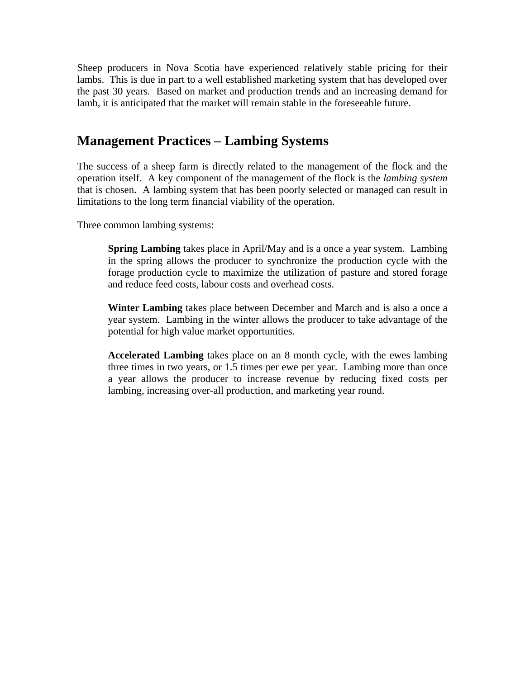Sheep producers in Nova Scotia have experienced relatively stable pricing for their lambs. This is due in part to a well established marketing system that has developed over the past 30 years. Based on market and production trends and an increasing demand for lamb, it is anticipated that the market will remain stable in the foreseeable future.

### **Management Practices – Lambing Systems**

The success of a sheep farm is directly related to the management of the flock and the operation itself. A key component of the management of the flock is the *lambing system* that is chosen. A lambing system that has been poorly selected or managed can result in limitations to the long term financial viability of the operation.

Three common lambing systems:

**Spring Lambing** takes place in April/May and is a once a year system. Lambing in the spring allows the producer to synchronize the production cycle with the forage production cycle to maximize the utilization of pasture and stored forage and reduce feed costs, labour costs and overhead costs.

**Winter Lambing** takes place between December and March and is also a once a year system. Lambing in the winter allows the producer to take advantage of the potential for high value market opportunities.

**Accelerated Lambing** takes place on an 8 month cycle, with the ewes lambing three times in two years, or 1.5 times per ewe per year. Lambing more than once a year allows the producer to increase revenue by reducing fixed costs per lambing, increasing over-all production, and marketing year round.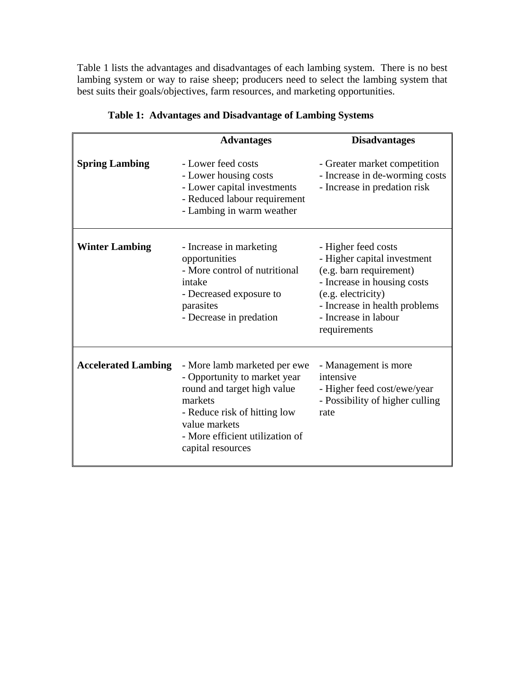Table 1 lists the advantages and disadvantages of each lambing system. There is no best lambing system or way to raise sheep; producers need to select the lambing system that best suits their goals/objectives, farm resources, and marketing opportunities.

|                            | <b>Advantages</b>                                                                                                                                                                                               | <b>Disadvantages</b>                                                                                                                                                                                        |  |  |
|----------------------------|-----------------------------------------------------------------------------------------------------------------------------------------------------------------------------------------------------------------|-------------------------------------------------------------------------------------------------------------------------------------------------------------------------------------------------------------|--|--|
| <b>Spring Lambing</b>      | - Lower feed costs<br>- Lower housing costs<br>- Lower capital investments<br>- Reduced labour requirement<br>- Lambing in warm weather                                                                         | - Greater market competition<br>- Increase in de-worming costs<br>- Increase in predation risk                                                                                                              |  |  |
| <b>Winter Lambing</b>      | - Increase in marketing<br>opportunities<br>- More control of nutritional<br>intake<br>- Decreased exposure to<br>parasites<br>- Decrease in predation                                                          | - Higher feed costs<br>- Higher capital investment<br>(e.g. barn requirement)<br>- Increase in housing costs<br>(e.g. electricity)<br>- Increase in health problems<br>- Increase in labour<br>requirements |  |  |
| <b>Accelerated Lambing</b> | - More lamb marketed per ewe<br>- Opportunity to market year<br>round and target high value<br>markets<br>- Reduce risk of hitting low<br>value markets<br>- More efficient utilization of<br>capital resources | - Management is more<br>intensive<br>- Higher feed cost/ewe/year<br>- Possibility of higher culling<br>rate                                                                                                 |  |  |

|  |  |  | Table 1: Advantages and Disadvantage of Lambing Systems |
|--|--|--|---------------------------------------------------------|
|--|--|--|---------------------------------------------------------|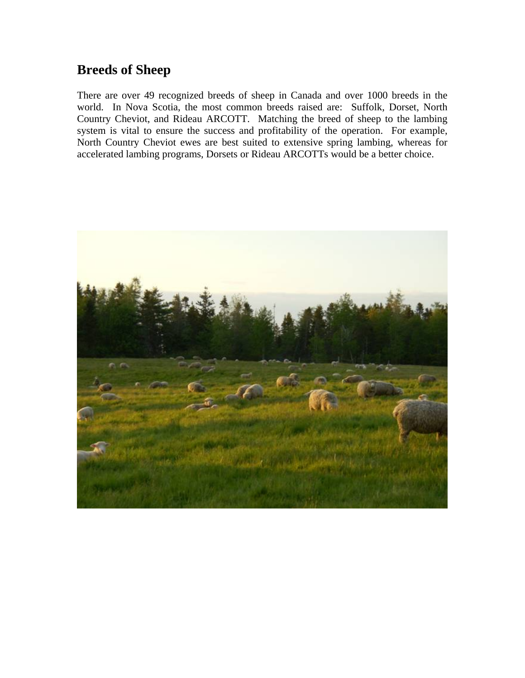### **Breeds of Sheep**

There are over 49 recognized breeds of sheep in Canada and over 1000 breeds in the world. In Nova Scotia, the most common breeds raised are: Suffolk, Dorset, North Country Cheviot, and Rideau ARCOTT. Matching the breed of sheep to the lambing system is vital to ensure the success and profitability of the operation. For example, North Country Cheviot ewes are best suited to extensive spring lambing, whereas for accelerated lambing programs, Dorsets or Rideau ARCOTTs would be a better choice.

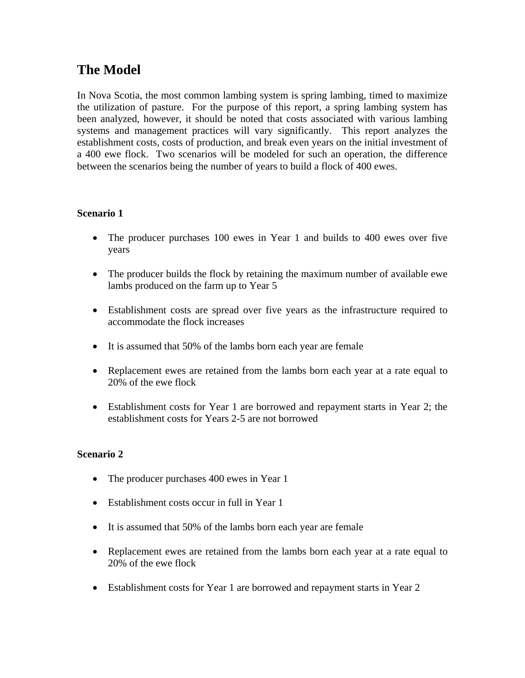### **The Model**

In Nova Scotia, the most common lambing system is spring lambing, timed to maximize the utilization of pasture. For the purpose of this report, a spring lambing system has been analyzed, however, it should be noted that costs associated with various lambing systems and management practices will vary significantly. This report analyzes the establishment costs, costs of production, and break even years on the initial investment of a 400 ewe flock. Two scenarios will be modeled for such an operation, the difference between the scenarios being the number of years to build a flock of 400 ewes.

#### **Scenario 1**

- The producer purchases 100 ewes in Year 1 and builds to 400 ewes over five years
- The producer builds the flock by retaining the maximum number of available ewe lambs produced on the farm up to Year 5
- Establishment costs are spread over five years as the infrastructure required to accommodate the flock increases
- It is assumed that 50% of the lambs born each year are female
- Replacement ewes are retained from the lambs born each year at a rate equal to 20% of the ewe flock
- Establishment costs for Year 1 are borrowed and repayment starts in Year 2; the establishment costs for Years 2-5 are not borrowed

#### **Scenario 2**

- The producer purchases 400 ewes in Year 1
- Establishment costs occur in full in Year 1
- It is assumed that 50% of the lambs born each year are female
- Replacement ewes are retained from the lambs born each year at a rate equal to 20% of the ewe flock
- Establishment costs for Year 1 are borrowed and repayment starts in Year 2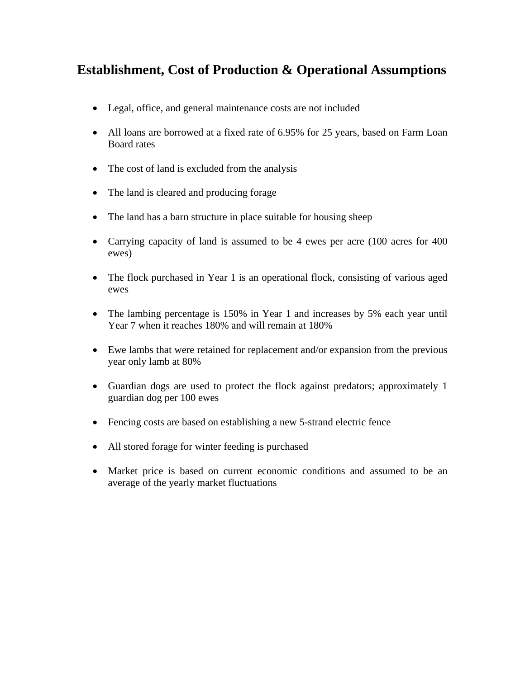### **Establishment, Cost of Production & Operational Assumptions**

- Legal, office, and general maintenance costs are not included
- All loans are borrowed at a fixed rate of 6.95% for 25 years, based on Farm Loan Board rates
- The cost of land is excluded from the analysis
- The land is cleared and producing forage
- The land has a barn structure in place suitable for housing sheep
- Carrying capacity of land is assumed to be 4 ewes per acre (100 acres for 400 ewes)
- The flock purchased in Year 1 is an operational flock, consisting of various aged ewes
- The lambing percentage is 150% in Year 1 and increases by 5% each year until Year 7 when it reaches 180% and will remain at 180%
- Ewe lambs that were retained for replacement and/or expansion from the previous year only lamb at 80%
- Guardian dogs are used to protect the flock against predators; approximately 1 guardian dog per 100 ewes
- Fencing costs are based on establishing a new 5-strand electric fence
- All stored forage for winter feeding is purchased
- Market price is based on current economic conditions and assumed to be an average of the yearly market fluctuations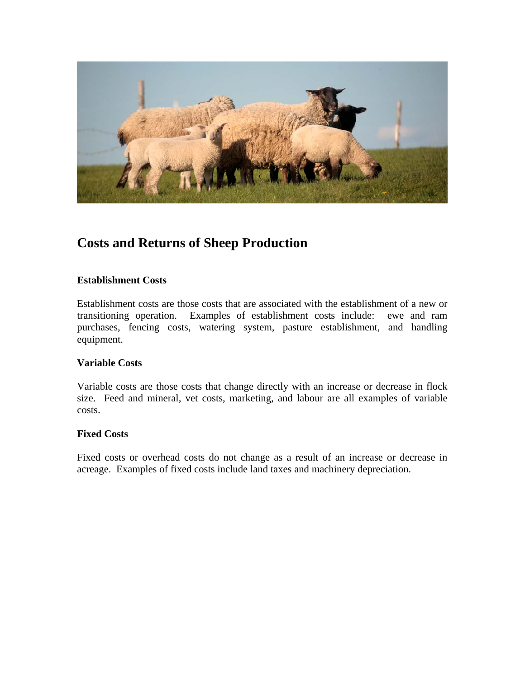

### **Costs and Returns of Sheep Production**

#### **Establishment Costs**

Establishment costs are those costs that are associated with the establishment of a new or transitioning operation. Examples of establishment costs include: ewe and ram purchases, fencing costs, watering system, pasture establishment, and handling equipment.

#### **Variable Costs**

Variable costs are those costs that change directly with an increase or decrease in flock size. Feed and mineral, vet costs, marketing, and labour are all examples of variable costs.

#### **Fixed Costs**

Fixed costs or overhead costs do not change as a result of an increase or decrease in acreage. Examples of fixed costs include land taxes and machinery depreciation.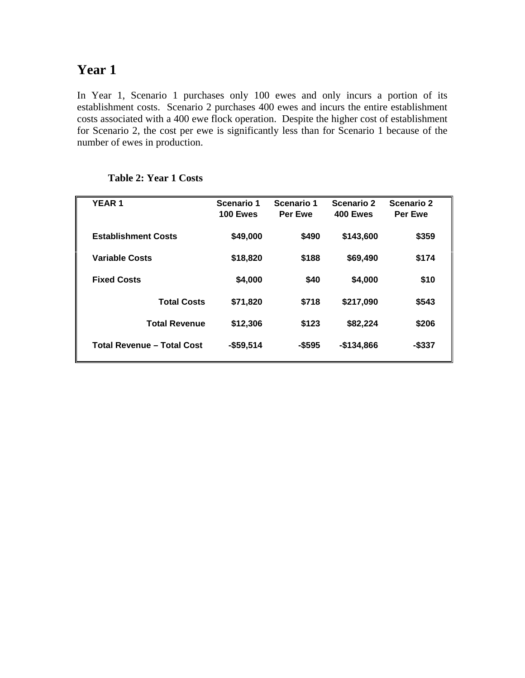### **Year 1**

In Year 1, Scenario 1 purchases only 100 ewes and only incurs a portion of its establishment costs. Scenario 2 purchases 400 ewes and incurs the entire establishment costs associated with a 400 ewe flock operation. Despite the higher cost of establishment for Scenario 2, the cost per ewe is significantly less than for Scenario 1 because of the number of ewes in production.

| <b>YEAR1</b>                      | Scenario 1<br>100 Ewes | Scenario 1<br>Per Ewe | Scenario 2<br>400 Ewes | Scenario 2<br>Per Ewe |  |
|-----------------------------------|------------------------|-----------------------|------------------------|-----------------------|--|
| <b>Establishment Costs</b>        | \$49,000               | \$490                 | \$143,600              | \$359                 |  |
| <b>Variable Costs</b>             | \$18,820               | \$188                 | \$69,490               | \$174                 |  |
| <b>Fixed Costs</b>                | \$4,000                | \$40                  | \$4,000                | \$10                  |  |
| <b>Total Costs</b>                | \$71,820               | \$718                 | \$217,090              | \$543                 |  |
| <b>Total Revenue</b>              | \$12,306               | \$123                 | \$82,224               | \$206                 |  |
| <b>Total Revenue - Total Cost</b> | $-$59,514$             | $-$ \$595             | $-$134,866$            | -\$337                |  |
|                                   |                        |                       |                        |                       |  |

#### **Table 2: Year 1 Costs**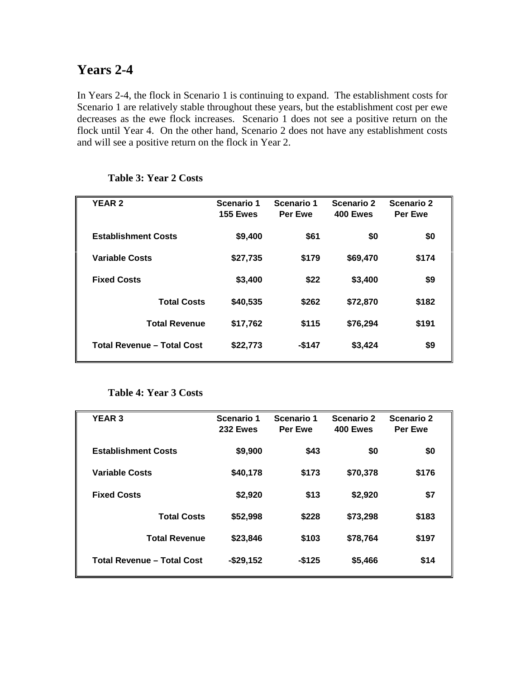### **Years 2-4**

In Years 2-4, the flock in Scenario 1 is continuing to expand. The establishment costs for Scenario 1 are relatively stable throughout these years, but the establishment cost per ewe decreases as the ewe flock increases. Scenario 1 does not see a positive return on the flock until Year 4. On the other hand, Scenario 2 does not have any establishment costs and will see a positive return on the flock in Year 2.

| <b>YEAR 2</b>                     | Scenario 1<br><b>155 Ewes</b> | Scenario 1<br>Per Ewe | Scenario 2<br>400 Ewes | Scenario 2<br>Per Ewe |  |
|-----------------------------------|-------------------------------|-----------------------|------------------------|-----------------------|--|
| <b>Establishment Costs</b>        | \$9,400                       | \$61                  | \$0                    | \$0                   |  |
| <b>Variable Costs</b>             | \$27,735                      | \$179                 | \$69,470               | \$174                 |  |
| <b>Fixed Costs</b>                | \$3,400                       | \$22                  | \$3,400                | \$9                   |  |
| <b>Total Costs</b>                | \$40,535                      | \$262                 | \$72,870               | \$182                 |  |
| <b>Total Revenue</b>              | \$17,762                      | \$115                 | \$76,294               | \$191                 |  |
| <b>Total Revenue - Total Cost</b> | \$22,773                      | -\$147                | \$3,424                | \$9                   |  |
|                                   |                               |                       |                        |                       |  |

#### **Table 3: Year 2 Costs**

#### **Table 4: Year 3 Costs**

| <b>YEAR 3</b>                     | Scenario 1<br>232 Ewes | Scenario 1<br><b>Per Ewe</b> | Scenario 2<br>400 Ewes | Scenario 2<br><b>Per Ewe</b> |  |
|-----------------------------------|------------------------|------------------------------|------------------------|------------------------------|--|
| <b>Establishment Costs</b>        | \$9,900                | \$43                         | \$0                    | \$0                          |  |
| <b>Variable Costs</b>             | \$40,178               | \$173                        | \$70,378               | \$176                        |  |
| <b>Fixed Costs</b>                | \$2,920                | \$13                         | \$2,920                | \$7                          |  |
| <b>Total Costs</b>                | \$52,998               | \$228                        | \$73,298               | \$183                        |  |
| <b>Total Revenue</b>              | \$23,846               | \$103                        | \$78,764               | \$197                        |  |
| <b>Total Revenue - Total Cost</b> | $-$ \$29,152           | $-$ \$125                    | \$5,466                | \$14                         |  |
|                                   |                        |                              |                        |                              |  |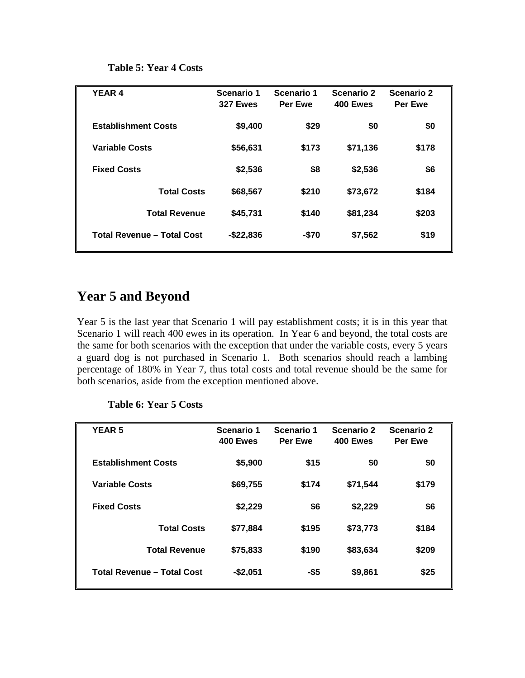#### **Table 5: Year 4 Costs**

| <b>YEAR 4</b>                     | Scenario 1<br><b>327 Ewes</b> | Scenario 1<br><b>Per Ewe</b> | <b>Scenario 2</b><br>400 Ewes | Scenario 2<br><b>Per Ewe</b> |
|-----------------------------------|-------------------------------|------------------------------|-------------------------------|------------------------------|
| <b>Establishment Costs</b>        | \$9,400                       | \$29                         | \$0                           | \$0                          |
| <b>Variable Costs</b>             | \$56,631                      | \$173                        | \$71,136                      | \$178                        |
| <b>Fixed Costs</b>                | \$2,536                       | \$8                          | \$2,536                       | \$6                          |
| <b>Total Costs</b>                | \$68,567                      | \$210                        | \$73,672                      | \$184                        |
| <b>Total Revenue</b>              | \$45,731                      | \$140                        | \$81,234                      | \$203                        |
| <b>Total Revenue - Total Cost</b> | $-$22,836$                    | $-$70$                       | \$7,562                       | \$19                         |

### **Year 5 and Beyond**

Year 5 is the last year that Scenario 1 will pay establishment costs; it is in this year that Scenario 1 will reach 400 ewes in its operation. In Year 6 and beyond, the total costs are the same for both scenarios with the exception that under the variable costs, every 5 years a guard dog is not purchased in Scenario 1. Both scenarios should reach a lambing percentage of 180% in Year 7, thus total costs and total revenue should be the same for both scenarios, aside from the exception mentioned above.

| <b>YEAR 5</b>                     | Scenario 1<br>400 Ewes | Scenario 1<br>Per Ewe | Scenario 2<br>400 Ewes | Scenario 2<br>Per Ewe |
|-----------------------------------|------------------------|-----------------------|------------------------|-----------------------|
| <b>Establishment Costs</b>        | \$5,900                | \$15                  | \$0                    | \$0                   |
| <b>Variable Costs</b>             | \$69,755               | \$174                 | \$71,544               | \$179                 |
| <b>Fixed Costs</b>                | \$2,229                | \$6                   | \$2,229                | \$6                   |
| <b>Total Costs</b>                | \$77,884               | \$195                 | \$73,773               | \$184                 |
| <b>Total Revenue</b>              | \$75,833               | \$190                 | \$83,634               | \$209                 |
| <b>Total Revenue - Total Cost</b> | $-$2,051$              | -\$5                  | \$9,861                | \$25                  |

#### **Table 6: Year 5 Costs**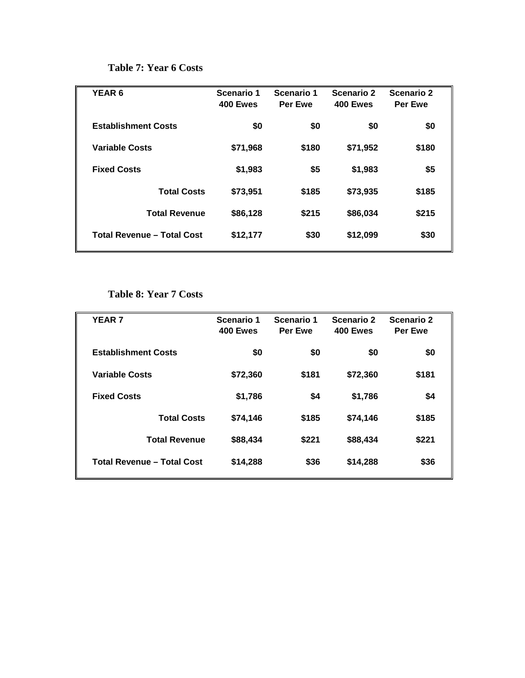#### **Table 7: Year 6 Costs**

| <b>YEAR 6</b>                     | Scenario 1<br>400 Ewes | Scenario 1<br>Per Ewe | Scenario 2<br>400 Ewes | Scenario 2<br>Per Ewe |
|-----------------------------------|------------------------|-----------------------|------------------------|-----------------------|
| <b>Establishment Costs</b>        | \$0                    | \$0                   | \$0                    | \$0                   |
| <b>Variable Costs</b>             | \$71,968               | \$180                 | \$71,952               | \$180                 |
| <b>Fixed Costs</b>                | \$1,983                | \$5                   | \$1,983                | \$5                   |
| <b>Total Costs</b>                | \$73,951               | \$185                 | \$73,935               | \$185                 |
| <b>Total Revenue</b>              | \$86,128               | \$215                 | \$86,034               | \$215                 |
| <b>Total Revenue - Total Cost</b> | \$12,177               | \$30                  | \$12,099               | \$30                  |

#### **Table 8: Year 7 Costs**

| <b>YEAR 7</b>                     | Scenario 1<br>400 Ewes | Scenario 1<br>Per Ewe | Scenario 2<br>400 Ewes | Scenario 2<br>Per Ewe |  |
|-----------------------------------|------------------------|-----------------------|------------------------|-----------------------|--|
| <b>Establishment Costs</b>        | \$0                    | \$0                   | \$0                    | \$0                   |  |
| <b>Variable Costs</b>             | \$72,360               | \$181                 | \$72,360               | \$181                 |  |
| <b>Fixed Costs</b>                | \$1,786                | \$4                   | \$1,786                | \$4                   |  |
| <b>Total Costs</b>                | \$74,146               | \$185                 | \$74.146               | \$185                 |  |
| <b>Total Revenue</b>              | \$88,434               | \$221                 | \$88,434               | \$221                 |  |
| <b>Total Revenue - Total Cost</b> | \$14,288               | \$36                  | \$14,288               | \$36                  |  |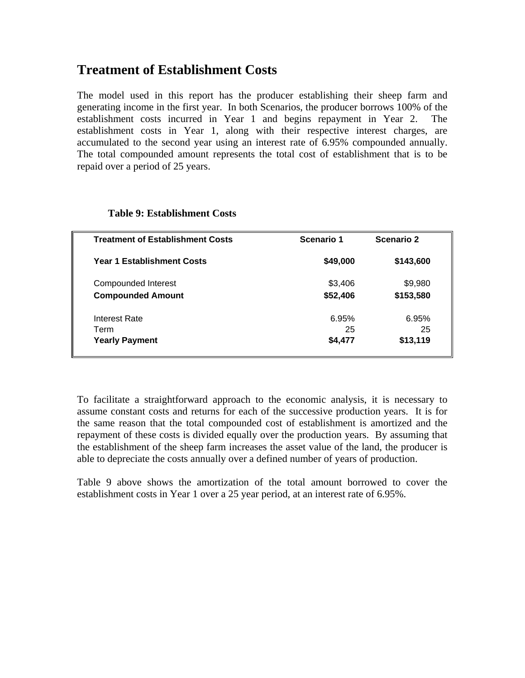### **Treatment of Establishment Costs**

The model used in this report has the producer establishing their sheep farm and generating income in the first year. In both Scenarios, the producer borrows 100% of the establishment costs incurred in Year 1 and begins repayment in Year 2. The establishment costs in Year 1, along with their respective interest charges, are accumulated to the second year using an interest rate of 6.95% compounded annually. The total compounded amount represents the total cost of establishment that is to be repaid over a period of 25 years.

| <b>Treatment of Establishment Costs</b> | Scenario 1 | Scenario 2 |  |
|-----------------------------------------|------------|------------|--|
| <b>Year 1 Establishment Costs</b>       | \$49,000   | \$143,600  |  |
| Compounded Interest                     | \$3,406    | \$9,980    |  |
| <b>Compounded Amount</b>                | \$52,406   | \$153,580  |  |
| Interest Rate                           | 6.95%      | 6.95%      |  |
| Term                                    | 25         | 25         |  |
| <b>Yearly Payment</b>                   | \$4,477    | \$13,119   |  |

#### **Table 9: Establishment Costs**

To facilitate a straightforward approach to the economic analysis, it is necessary to assume constant costs and returns for each of the successive production years. It is for the same reason that the total compounded cost of establishment is amortized and the repayment of these costs is divided equally over the production years. By assuming that the establishment of the sheep farm increases the asset value of the land, the producer is able to depreciate the costs annually over a defined number of years of production.

Table 9 above shows the amortization of the total amount borrowed to cover the establishment costs in Year 1 over a 25 year period, at an interest rate of 6.95%.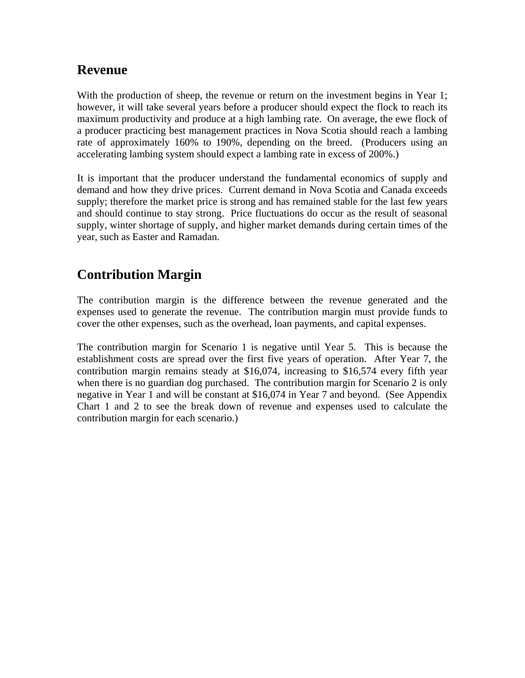### **Revenue**

With the production of sheep, the revenue or return on the investment begins in Year 1; however, it will take several years before a producer should expect the flock to reach its maximum productivity and produce at a high lambing rate. On average, the ewe flock of a producer practicing best management practices in Nova Scotia should reach a lambing rate of approximately 160% to 190%, depending on the breed. (Producers using an accelerating lambing system should expect a lambing rate in excess of 200%.)

It is important that the producer understand the fundamental economics of supply and demand and how they drive prices. Current demand in Nova Scotia and Canada exceeds supply; therefore the market price is strong and has remained stable for the last few years and should continue to stay strong. Price fluctuations do occur as the result of seasonal supply, winter shortage of supply, and higher market demands during certain times of the year, such as Easter and Ramadan.

## **Contribution Margin**

The contribution margin is the difference between the revenue generated and the expenses used to generate the revenue. The contribution margin must provide funds to cover the other expenses, such as the overhead, loan payments, and capital expenses.

The contribution margin for Scenario 1 is negative until Year 5. This is because the establishment costs are spread over the first five years of operation. After Year 7, the contribution margin remains steady at \$16,074, increasing to \$16,574 every fifth year when there is no guardian dog purchased. The contribution margin for Scenario 2 is only negative in Year 1 and will be constant at \$16,074 in Year 7 and beyond. (See Appendix Chart 1 and 2 to see the break down of revenue and expenses used to calculate the contribution margin for each scenario.)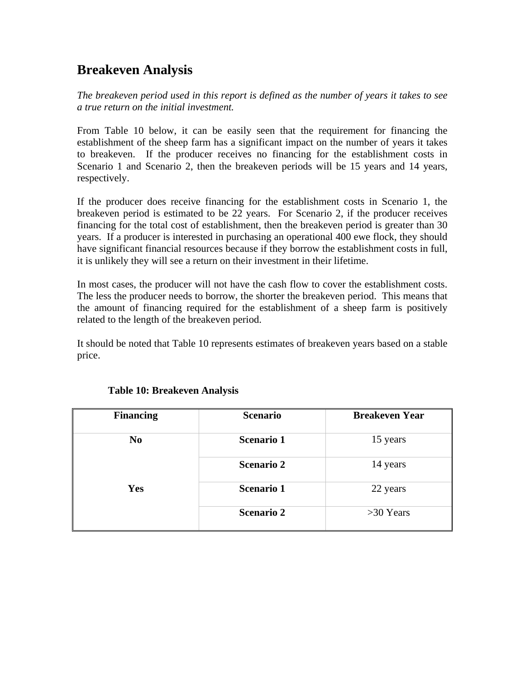### **Breakeven Analysis**

*The breakeven period used in this report is defined as the number of years it takes to see a true return on the initial investment.* 

From Table 10 below, it can be easily seen that the requirement for financing the establishment of the sheep farm has a significant impact on the number of years it takes to breakeven. If the producer receives no financing for the establishment costs in Scenario 1 and Scenario 2, then the breakeven periods will be 15 years and 14 years, respectively.

If the producer does receive financing for the establishment costs in Scenario 1, the breakeven period is estimated to be 22 years. For Scenario 2, if the producer receives financing for the total cost of establishment, then the breakeven period is greater than 30 years. If a producer is interested in purchasing an operational 400 ewe flock, they should have significant financial resources because if they borrow the establishment costs in full, it is unlikely they will see a return on their investment in their lifetime.

In most cases, the producer will not have the cash flow to cover the establishment costs. The less the producer needs to borrow, the shorter the breakeven period. This means that the amount of financing required for the establishment of a sheep farm is positively related to the length of the breakeven period.

It should be noted that Table 10 represents estimates of breakeven years based on a stable price.

| <b>Financing</b> | <b>Scenario</b>   | <b>Breakeven Year</b> |
|------------------|-------------------|-----------------------|
| N <sub>0</sub>   | <b>Scenario 1</b> | 15 years              |
|                  | <b>Scenario 2</b> | 14 years              |
| <b>Yes</b>       | <b>Scenario 1</b> | 22 years              |
|                  | <b>Scenario 2</b> | $>30$ Years           |

#### **Table 10: Breakeven Analysis**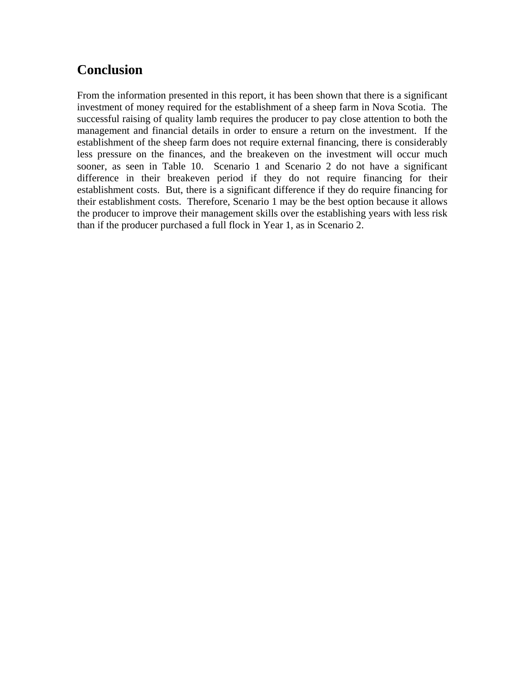### **Conclusion**

From the information presented in this report, it has been shown that there is a significant investment of money required for the establishment of a sheep farm in Nova Scotia. The successful raising of quality lamb requires the producer to pay close attention to both the management and financial details in order to ensure a return on the investment. If the establishment of the sheep farm does not require external financing, there is considerably less pressure on the finances, and the breakeven on the investment will occur much sooner, as seen in Table 10. Scenario 1 and Scenario 2 do not have a significant difference in their breakeven period if they do not require financing for their establishment costs. But, there is a significant difference if they do require financing for their establishment costs. Therefore, Scenario 1 may be the best option because it allows the producer to improve their management skills over the establishing years with less risk than if the producer purchased a full flock in Year 1, as in Scenario 2.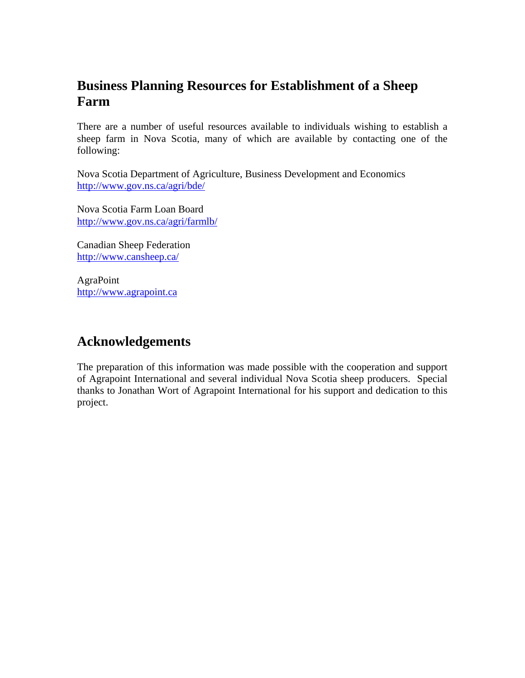### **Business Planning Resources for Establishment of a Sheep Farm**

There are a number of useful resources available to individuals wishing to establish a sheep farm in Nova Scotia, many of which are available by contacting one of the following:

Nova Scotia Department of Agriculture, Business Development and Economics http://www.gov.ns.ca/agri/bde/

Nova Scotia Farm Loan Board http://www.gov.ns.ca/agri/farmlb/

Canadian Sheep Federation http://www.cansheep.ca/

AgraPoint http://www.agrapoint.ca

### **Acknowledgements**

The preparation of this information was made possible with the cooperation and support of Agrapoint International and several individual Nova Scotia sheep producers. Special thanks to Jonathan Wort of Agrapoint International for his support and dedication to this project.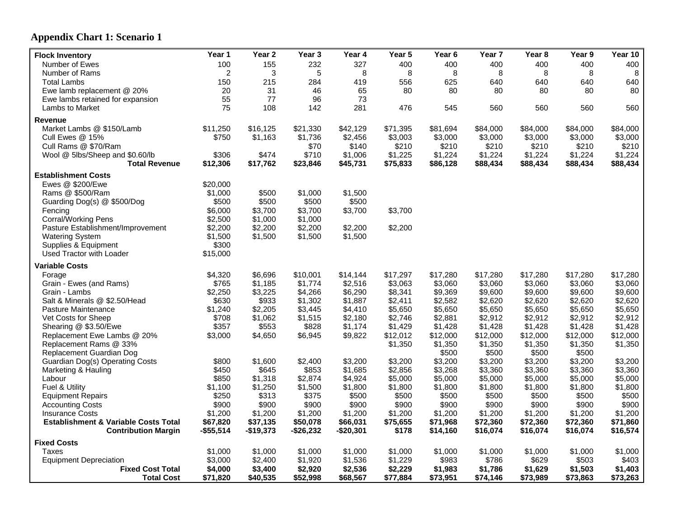### **Appendix Chart 1: Scenario 1**

| <b>Flock Inventory</b>                                                        | Year 1                   | Year 2                 | Year 3                 | Year 4                 | Year 5            | Year 6               | Year <sub>7</sub>    | Year 8               | Year 9               | Year 10              |
|-------------------------------------------------------------------------------|--------------------------|------------------------|------------------------|------------------------|-------------------|----------------------|----------------------|----------------------|----------------------|----------------------|
| Number of Ewes                                                                | 100                      | 155                    | 232                    | 327                    | 400               | 400                  | 400                  | 400                  | 400                  | 400                  |
| Number of Rams                                                                | 2                        | 3                      | 5                      | 8                      | 8                 | 8                    | 8                    | 8                    | 8                    | 8                    |
| Total Lambs                                                                   | 150                      | 215                    | 284                    | 419                    | 556               | 625                  | 640                  | 640                  | 640                  | 640                  |
| Ewe lamb replacement @ 20%                                                    | 20                       | 31                     | 46                     | 65                     | 80                | 80                   | 80                   | 80                   | 80                   | 80                   |
| Ewe lambs retained for expansion                                              | 55                       | 77                     | 96                     | 73                     |                   |                      |                      |                      |                      |                      |
| Lambs to Market                                                               | 75                       | 108                    | 142                    | 281                    | 476               | 545                  | 560                  | 560                  | 560                  | 560                  |
| Revenue                                                                       |                          |                        |                        |                        |                   |                      |                      |                      |                      |                      |
| Market Lambs @ \$150/Lamb                                                     | \$11,250                 | \$16,125               | \$21,330               | \$42,129               | \$71,395          | \$81,694             | \$84,000             | \$84,000             | \$84,000             | \$84,000             |
| Cull Ewes @ 15%                                                               | \$750                    | \$1,163                | \$1,736                | \$2,456                | \$3,003           | \$3,000              | \$3,000              | \$3,000              | \$3,000              | \$3,000              |
| Cull Rams @ \$70/Ram                                                          |                          |                        | \$70                   | \$140                  | \$210             | \$210                | \$210                | \$210                | \$210                | \$210                |
| Wool @ 5lbs/Sheep and \$0.60/lb                                               | \$306                    | \$474                  | \$710                  | \$1,006                | \$1,225           | \$1,224              | \$1,224              | \$1,224              | \$1,224              | \$1,224              |
| <b>Total Revenue</b>                                                          | \$12,306                 | \$17,762               | \$23,846               | \$45,731               | \$75,833          | \$86,128             | \$88,434             | \$88,434             | \$88,434             | \$88,434             |
| <b>Establishment Costs</b>                                                    |                          |                        |                        |                        |                   |                      |                      |                      |                      |                      |
| Ewes @ \$200/Ewe                                                              | \$20,000                 |                        |                        |                        |                   |                      |                      |                      |                      |                      |
| Rams @ \$500/Ram                                                              | \$1,000                  | \$500                  | \$1,000                | \$1,500                |                   |                      |                      |                      |                      |                      |
| Guarding Dog(s) @ \$500/Dog                                                   | \$500                    | \$500                  | \$500                  | \$500                  |                   |                      |                      |                      |                      |                      |
| Fencing                                                                       | \$6,000                  | \$3,700                | \$3,700                | \$3,700                | \$3,700           |                      |                      |                      |                      |                      |
| <b>Corral/Working Pens</b>                                                    | \$2,500                  | \$1,000                | \$1,000                |                        |                   |                      |                      |                      |                      |                      |
| Pasture Establishment/Improvement                                             | \$2,200                  | \$2,200                | \$2,200                | \$2,200                | \$2,200           |                      |                      |                      |                      |                      |
| <b>Watering System</b>                                                        | \$1,500                  | \$1,500                | \$1,500                | \$1,500                |                   |                      |                      |                      |                      |                      |
| Supplies & Equipment                                                          | \$300                    |                        |                        |                        |                   |                      |                      |                      |                      |                      |
| <b>Used Tractor with Loader</b>                                               | \$15,000                 |                        |                        |                        |                   |                      |                      |                      |                      |                      |
|                                                                               |                          |                        |                        |                        |                   |                      |                      |                      |                      |                      |
| <b>Variable Costs</b>                                                         |                          |                        |                        |                        |                   |                      |                      |                      |                      |                      |
| Forage                                                                        | \$4,320                  | \$6,696                | \$10,001               | \$14,144               | \$17,297          | \$17,280             | \$17,280             | \$17,280             | \$17,280             | \$17,280             |
| Grain - Ewes (and Rams)                                                       | \$765                    | \$1,185                | \$1,774                | \$2,516                | \$3,063           | \$3,060              | \$3,060              | \$3,060              | \$3,060              | \$3,060              |
| Grain - Lambs                                                                 | \$2,250                  | \$3,225                | \$4,266                | \$6,290                | \$8,341           | \$9,369              | \$9,600              | \$9,600              | \$9,600              | \$9,600              |
| Salt & Minerals @ \$2.50/Head                                                 | \$630                    | \$933                  | \$1,302                | \$1,887                | \$2,411           | \$2,582              | \$2,620              | \$2,620              | \$2,620              | \$2,620              |
| Pasture Maintenance                                                           | \$1,240                  | \$2,205                | \$3,445                | \$4,410                | \$5,650           | \$5,650              | \$5,650              | \$5,650              | \$5,650              | \$5,650              |
| Vet Costs for Sheep                                                           | \$708                    | \$1,062                | \$1,515                | \$2,180                | \$2,746           | \$2,881              | \$2,912              | \$2,912              | \$2,912              | \$2,912              |
| Shearing @ \$3.50/Ewe                                                         | \$357                    | \$553                  | \$828                  | \$1,174                | \$1,429           | \$1,428              | \$1,428              | \$1,428              | \$1,428              | \$1,428              |
| Replacement Ewe Lambs @ 20%                                                   | \$3,000                  | \$4,650                | \$6,945                | \$9,822                | \$12,012          | \$12,000             | \$12,000             | \$12,000             | \$12,000             | \$12,000             |
| Replacement Rams @ 33%                                                        |                          |                        |                        |                        | \$1,350           | \$1,350              | \$1,350              | \$1,350              | \$1,350              | \$1,350              |
| Replacement Guardian Dog                                                      |                          |                        |                        |                        |                   | \$500                | \$500                | \$500                | \$500                |                      |
| Guardian Dog(s) Operating Costs                                               | \$800                    | \$1,600                | \$2,400                | \$3,200                | \$3,200           | \$3,200              | \$3,200              | \$3,200              | \$3,200              | \$3,200              |
| Marketing & Hauling                                                           | \$450                    | \$645                  | \$853                  | \$1,685                | \$2,856           | \$3,268              | \$3,360              | \$3,360              | \$3,360              | \$3,360              |
| Labour                                                                        | \$850                    | \$1,318                | \$2,874                | \$4,924                | \$5,000           | \$5,000              | \$5,000              | \$5,000              | \$5,000              | \$5,000              |
| Fuel & Utility                                                                | \$1,100                  | \$1,250                | \$1,500                | \$1,800                | \$1,800           | \$1,800              | \$1,800              | \$1,800              | \$1,800              | \$1,800              |
| <b>Equipment Repairs</b>                                                      | \$250                    | \$313                  | \$375                  | \$500                  | \$500             | \$500                | \$500                | \$500                | \$500                | \$500                |
| <b>Accounting Costs</b>                                                       | \$900                    | \$900                  | \$900                  | \$900                  | \$900             | \$900                | \$900                | \$900                | \$900                | \$900                |
| <b>Insurance Costs</b>                                                        | \$1,200                  | \$1,200                | \$1,200                | \$1,200                | \$1,200           | \$1,200              | \$1,200              | \$1,200              | \$1,200              | \$1,200              |
| <b>Establishment &amp; Variable Costs Total</b><br><b>Contribution Margin</b> | \$67,820<br>$-$ \$55,514 | \$37,135<br>$-$19,373$ | \$50,078<br>$-$26,232$ | \$66,031<br>$-$20,301$ | \$75,655<br>\$178 | \$71,968<br>\$14,160 | \$72,360<br>\$16,074 | \$72,360<br>\$16,074 | \$72,360<br>\$16,074 | \$71,860<br>\$16,574 |
|                                                                               |                          |                        |                        |                        |                   |                      |                      |                      |                      |                      |
| <b>Fixed Costs</b>                                                            |                          |                        |                        |                        |                   |                      |                      |                      |                      |                      |
| Taxes                                                                         | \$1,000                  | \$1,000                | \$1,000                | \$1,000                | \$1,000           | \$1,000              | \$1,000              | \$1,000              | \$1,000              | \$1,000              |
| <b>Equipment Depreciation</b>                                                 | \$3,000                  | \$2,400                | \$1,920                | \$1,536                | \$1,229           | \$983                | \$786                | \$629                | \$503                | \$403                |
| <b>Fixed Cost Total</b>                                                       | \$4,000                  | \$3,400                | \$2,920                | \$2,536                | \$2,229           | \$1,983              | \$1,786              | \$1,629              | \$1,503<br>\$73,863  | \$1,403<br>\$73,263  |
| <b>Total Cost</b>                                                             | \$71,820                 | \$40,535               | \$52,998               | \$68,567               | \$77,884          | \$73,951             | \$74,146             | \$73,989             |                      |                      |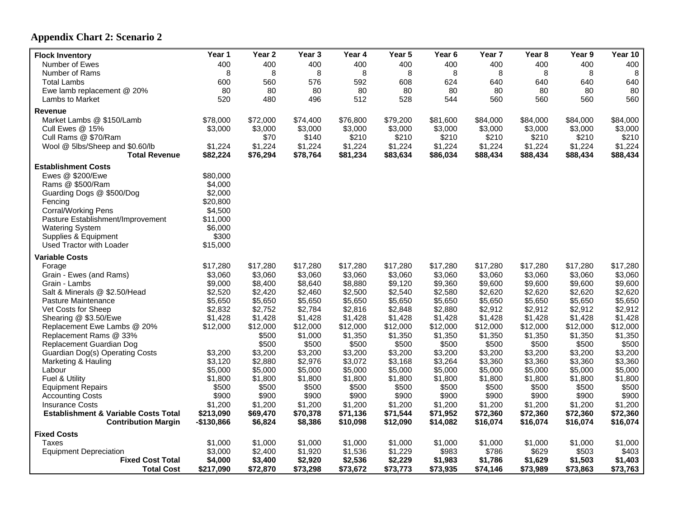### **Appendix Chart 2: Scenario 2**

| <b>Flock Inventory</b>                          | Year 1      | Year <sub>2</sub> | Year 3   | Year 4   | Year 5   | Year 6   | Year 7   | Year <sub>8</sub> | Year 9   | Year 10  |
|-------------------------------------------------|-------------|-------------------|----------|----------|----------|----------|----------|-------------------|----------|----------|
| Number of Ewes                                  | 400         | 400               | 400      | 400      | 400      | 400      | 400      | 400               | 400      | 400      |
| Number of Rams                                  | 8           | 8                 | 8        | 8        | 8        | 8        | 8        | 8                 | 8        | 8        |
| <b>Total Lambs</b>                              | 600         | 560               | 576      | 592      | 608      | 624      | 640      | 640               | 640      | 640      |
| Ewe lamb replacement @ 20%                      | 80          | 80                | 80       | 80       | 80       | 80       | 80       | 80                | 80       | 80       |
| Lambs to Market                                 | 520         | 480               | 496      | 512      | 528      | 544      | 560      | 560               | 560      | 560      |
| <b>Revenue</b>                                  |             |                   |          |          |          |          |          |                   |          |          |
| Market Lambs @ \$150/Lamb                       | \$78,000    | \$72,000          | \$74,400 | \$76,800 | \$79,200 | \$81,600 | \$84,000 | \$84,000          | \$84,000 | \$84,000 |
| Cull Ewes @ 15%                                 | \$3,000     | \$3,000           | \$3,000  | \$3,000  | \$3,000  | \$3,000  | \$3,000  | \$3,000           | \$3,000  | \$3,000  |
| Cull Rams @ \$70/Ram                            |             | \$70              | \$140    | \$210    | \$210    | \$210    | \$210    | \$210             | \$210    | \$210    |
| Wool @ 5lbs/Sheep and \$0.60/lb                 | \$1,224     | \$1,224           | \$1,224  | \$1,224  | \$1,224  | \$1,224  | \$1,224  | \$1,224           | \$1,224  | \$1,224  |
| <b>Total Revenue</b>                            | \$82,224    | \$76,294          | \$78,764 | \$81,234 | \$83,634 | \$86,034 | \$88,434 | \$88,434          | \$88,434 | \$88,434 |
| <b>Establishment Costs</b>                      |             |                   |          |          |          |          |          |                   |          |          |
| Ewes @ \$200/Ewe                                | \$80,000    |                   |          |          |          |          |          |                   |          |          |
| Rams @ \$500/Ram                                | \$4,000     |                   |          |          |          |          |          |                   |          |          |
| Guarding Dogs @ \$500/Dog                       | \$2,000     |                   |          |          |          |          |          |                   |          |          |
| Fencing                                         | \$20,800    |                   |          |          |          |          |          |                   |          |          |
| <b>Corral/Working Pens</b>                      | \$4,500     |                   |          |          |          |          |          |                   |          |          |
| Pasture Establishment/Improvement               | \$11,000    |                   |          |          |          |          |          |                   |          |          |
| <b>Watering System</b>                          | \$6,000     |                   |          |          |          |          |          |                   |          |          |
| Supplies & Equipment                            | \$300       |                   |          |          |          |          |          |                   |          |          |
| Used Tractor with Loader                        | \$15,000    |                   |          |          |          |          |          |                   |          |          |
| <b>Variable Costs</b>                           |             |                   |          |          |          |          |          |                   |          |          |
| Forage                                          | \$17,280    | \$17,280          | \$17,280 | \$17,280 | \$17,280 | \$17,280 | \$17,280 | \$17,280          | \$17,280 | \$17,280 |
| Grain - Ewes (and Rams)                         | \$3,060     | \$3,060           | \$3,060  | \$3,060  | \$3,060  | \$3,060  | \$3,060  | \$3,060           | \$3,060  | \$3,060  |
| Grain - Lambs                                   | \$9,000     | \$8,400           | \$8,640  | \$8,880  | \$9,120  | \$9,360  | \$9,600  | \$9,600           | \$9,600  | \$9,600  |
| Salt & Minerals @ \$2.50/Head                   | \$2,520     | \$2,420           | \$2,460  | \$2,500  | \$2,540  | \$2,580  | \$2,620  | \$2,620           | \$2,620  | \$2,620  |
| Pasture Maintenance                             | \$5,650     | \$5,650           | \$5,650  | \$5,650  | \$5,650  | \$5,650  | \$5,650  | \$5,650           | \$5,650  | \$5,650  |
| Vet Costs for Sheep                             | \$2,832     | \$2,752           | \$2,784  | \$2,816  | \$2,848  | \$2,880  | \$2,912  | \$2,912           | \$2,912  | \$2,912  |
| Shearing @ \$3.50/Ewe                           | \$1,428     | \$1,428           | \$1,428  | \$1,428  | \$1,428  | \$1,428  | \$1,428  | \$1,428           | \$1,428  | \$1,428  |
| Replacement Ewe Lambs @ 20%                     | \$12,000    | \$12,000          | \$12,000 | \$12,000 | \$12,000 | \$12,000 | \$12,000 | \$12,000          | \$12,000 | \$12,000 |
| Replacement Rams @ 33%                          |             | \$500             | \$1,000  | \$1,350  | \$1,350  | \$1,350  | \$1,350  | \$1,350           | \$1,350  | \$1,350  |
| Replacement Guardian Dog                        |             | \$500             | \$500    | \$500    | \$500    | \$500    | \$500    | \$500             | \$500    | \$500    |
| Guardian Dog(s) Operating Costs                 | \$3,200     | \$3,200           | \$3,200  | \$3,200  | \$3,200  | \$3,200  | \$3,200  | \$3,200           | \$3,200  | \$3,200  |
| Marketing & Hauling                             | \$3,120     | \$2,880           | \$2,976  | \$3,072  | \$3,168  | \$3,264  | \$3,360  | \$3,360           | \$3,360  | \$3,360  |
| Labour                                          | \$5,000     | \$5,000           | \$5,000  | \$5,000  | \$5,000  | \$5,000  | \$5,000  | \$5,000           | \$5,000  | \$5,000  |
| Fuel & Utility                                  | \$1,800     | \$1,800           | \$1,800  | \$1,800  | \$1,800  | \$1,800  | \$1,800  | \$1,800           | \$1,800  | \$1,800  |
| <b>Equipment Repairs</b>                        | \$500       | \$500             | \$500    | \$500    | \$500    | \$500    | \$500    | \$500             | \$500    | \$500    |
| <b>Accounting Costs</b>                         | \$900       | \$900             | \$900    | \$900    | \$900    | \$900    | \$900    | \$900             | \$900    | \$900    |
| <b>Insurance Costs</b>                          | \$1,200     | \$1,200           | \$1,200  | \$1,200  | \$1,200  | \$1,200  | \$1,200  | \$1,200           | \$1,200  | \$1,200  |
| <b>Establishment &amp; Variable Costs Total</b> | \$213,090   | \$69,470          | \$70,378 | \$71,136 | \$71,544 | \$71,952 | \$72,360 | \$72,360          | \$72,360 | \$72,360 |
| <b>Contribution Margin</b>                      | $-$130,866$ | \$6,824           | \$8,386  | \$10,098 | \$12,090 | \$14,082 | \$16,074 | \$16,074          | \$16,074 | \$16,074 |
| <b>Fixed Costs</b>                              |             |                   |          |          |          |          |          |                   |          |          |
| <b>Taxes</b>                                    | \$1,000     | \$1,000           | \$1,000  | \$1,000  | \$1,000  | \$1,000  | \$1,000  | \$1,000           | \$1,000  | \$1,000  |
| <b>Equipment Depreciation</b>                   | \$3,000     | \$2,400           | \$1,920  | \$1,536  | \$1,229  | \$983    | \$786    | \$629             | \$503    | \$403    |
| <b>Fixed Cost Total</b>                         | \$4,000     | \$3,400           | \$2,920  | \$2,536  | \$2,229  | \$1,983  | \$1,786  | \$1,629           | \$1,503  | \$1,403  |
| <b>Total Cost</b>                               | \$217,090   | \$72,870          | \$73,298 | \$73,672 | \$73,773 | \$73,935 | \$74,146 | \$73,989          | \$73,863 | \$73,763 |